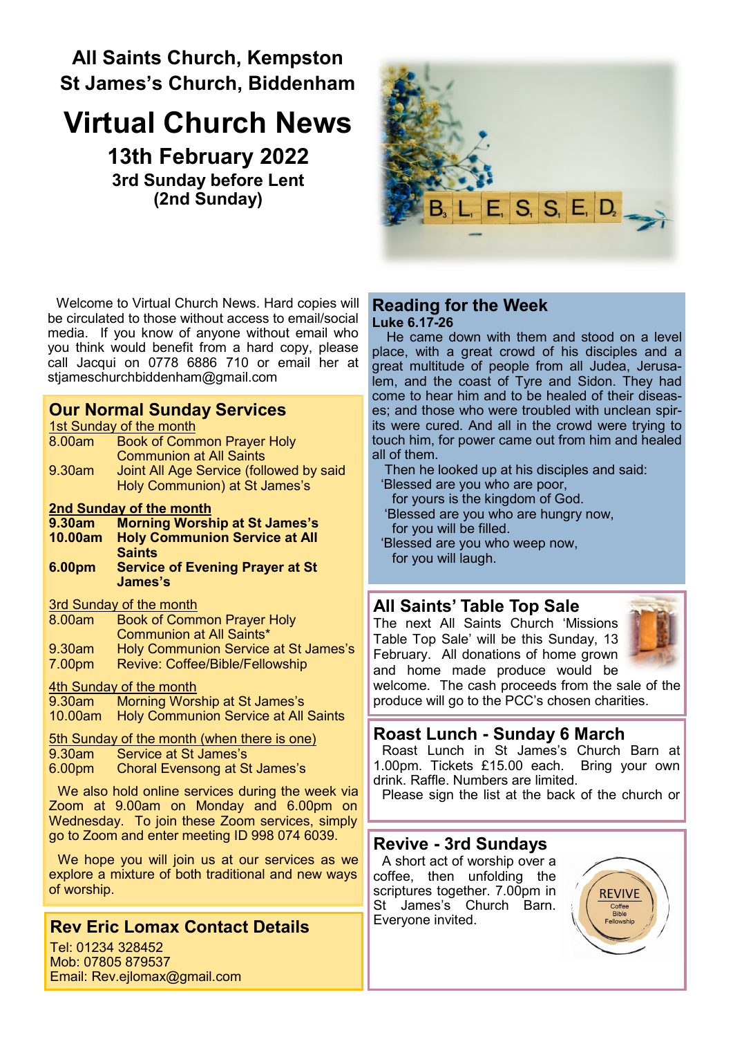# **All Saints Church, Kempston St James's Church, Biddenham**

# **Virtual Church News**

**13th February 2022 3rd Sunday before Lent (2nd Sunday)**



Welcome to Virtual Church News. Hard copies will be circulated to those without access to email/social media. If you know of anyone without email who you think would benefit from a hard copy, please call Jacqui on 0778 6886 710 or email her at [stjameschurchbiddenham@gmail.com](mailto:Jacqui.piper@btinternet.com) 

### **Our Normal Sunday Services**

1st Sunday of the month

| 8.00am | <b>Book of Common Prayer Holy</b>       |
|--------|-----------------------------------------|
|        | <b>Communion at All Saints</b>          |
| 9.30am | Joint All Age Service (followed by said |
|        | Holy Communion) at St James's           |

#### **2nd Sunday of the month**

- **9.30am Morning Worship at St James's**
- **10.00am Holy Communion Service at All Saints**
- **6.00pm Service of Evening Prayer at St James's**

#### 3rd Sunday of the month

| 8.00am             | <b>Book of Common Prayer Holy</b>    |
|--------------------|--------------------------------------|
|                    | <b>Communion at All Saints*</b>      |
| 9.30am             | Holy Communion Service at St James's |
| 7.00 <sub>pm</sub> | Revive: Coffee/Bible/Fellowship      |

#### 4th Sunday of the month

9.30am Morning Worship at St James's 10.00am Holy Communion Service at All Saints

# 5th Sunday of the month (when there is one)<br>9.30am Service at St James's

- 9.30am Service at St James's<br>6.00pm Choral Evensong at St
- Choral Evensong at St James's

We also hold online services during the week via Zoom at 9.00am on Monday and 6.00pm on Wednesday. To join these Zoom services, simply go to Zoom and enter meeting ID 998 074 6039.

We hope you will join us at our services as we explore a mixture of both traditional and new ways of worship.

# **Rev Eric Lomax Contact Details**

Tel: 01234 328452 Mob: 07805 879537 Email: Rev.ejlomax@gmail.com

#### **Reading for the Week Luke 6.17-26**

He came down with them and stood on a level place, with a great crowd of his disciples and a great multitude of people from all Judea, Jerusalem, and the coast of Tyre and Sidon. They had come to hear him and to be healed of their diseases; and those who were troubled with unclean spirits were cured. And all in the crowd were trying to touch him, for power came out from him and healed all of them.

Then he looked up at his disciples and said:

- 'Blessed are you who are poor,
- for yours is the kingdom of God. 'Blessed are you who are hungry now,
- for you will be filled.
- 'Blessed are you who weep now, for you will laugh.

## **All Saints' Table Top Sale**

The next All Saints Church 'Missions Table Top Sale' will be this Sunday, 13 February. All donations of home grown and home made produce would be



welcome. The cash proceeds from the sale of the produce will go to the PCC's chosen charities.

# **Roast Lunch - Sunday 6 March**

Roast Lunch in St James's Church Barn at 1.00pm. Tickets £15.00 each. Bring your own drink. Raffle. Numbers are limited.

Please sign the list at the back of the church or

## **Revive - 3rd Sundays**

A short act of worship over a coffee, then unfolding the scriptures together. 7.00pm in St James's Church Barn. Everyone invited.

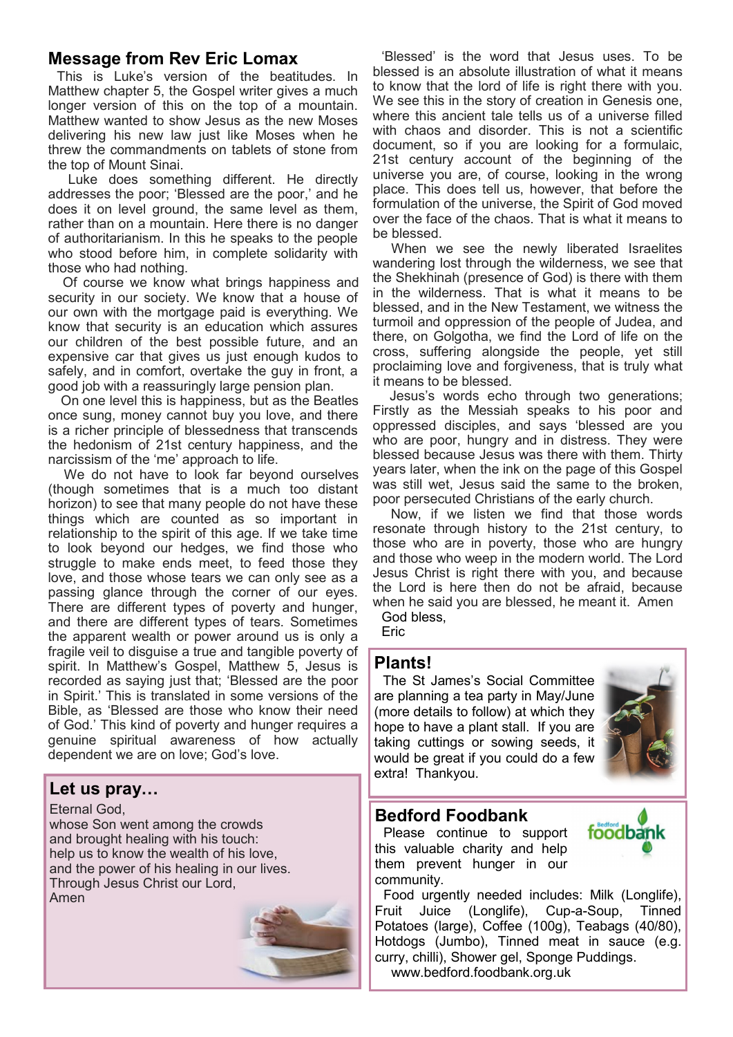#### **Message from Rev Eric Lomax**

This is Luke's version of the beatitudes. In Matthew chapter 5, the Gospel writer gives a much longer version of this on the top of a mountain. Matthew wanted to show Jesus as the new Moses delivering his new law just like Moses when he threw the commandments on tablets of stone from the top of Mount Sinai.

Luke does something different. He directly addresses the poor; 'Blessed are the poor,' and he does it on level ground, the same level as them, rather than on a mountain. Here there is no danger of authoritarianism. In this he speaks to the people who stood before him, in complete solidarity with those who had nothing.

Of course we know what brings happiness and security in our society. We know that a house of our own with the mortgage paid is everything. We know that security is an education which assures our children of the best possible future, and an expensive car that gives us just enough kudos to safely, and in comfort, overtake the guy in front, a good job with a reassuringly large pension plan.

On one level this is happiness, but as the Beatles once sung, money cannot buy you love, and there is a richer principle of blessedness that transcends the hedonism of 21st century happiness, and the narcissism of the 'me' approach to life.

We do not have to look far beyond ourselves (though sometimes that is a much too distant horizon) to see that many people do not have these things which are counted as so important in relationship to the spirit of this age. If we take time to look beyond our hedges, we find those who struggle to make ends meet, to feed those they love, and those whose tears we can only see as a passing glance through the corner of our eyes. There are different types of poverty and hunger, and there are different types of tears. Sometimes the apparent wealth or power around us is only a fragile veil to disguise a true and tangible poverty of spirit. In Matthew's Gospel, Matthew 5, Jesus is recorded as saying just that; 'Blessed are the poor in Spirit.' This is translated in some versions of the Bible, as 'Blessed are those who know their need of God.' This kind of poverty and hunger requires a genuine spiritual awareness of how actually dependent we are on love; God's love.

#### **Let us pray…**

Eternal God, whose Son went among the crowds and brought healing with his touch: help us to know the wealth of his love, and the power of his healing in our lives. Through Jesus Christ our Lord, Amen



'Blessed' is the word that Jesus uses. To be blessed is an absolute illustration of what it means to know that the lord of life is right there with you. We see this in the story of creation in Genesis one, where this ancient tale tells us of a universe filled with chaos and disorder. This is not a scientific document, so if you are looking for a formulaic, 21st century account of the beginning of the universe you are, of course, looking in the wrong place. This does tell us, however, that before the formulation of the universe, the Spirit of God moved over the face of the chaos. That is what it means to be blessed.

When we see the newly liberated Israelites wandering lost through the wilderness, we see that the Shekhinah (presence of God) is there with them in the wilderness. That is what it means to be blessed, and in the New Testament, we witness the turmoil and oppression of the people of Judea, and there, on Golgotha, we find the Lord of life on the cross, suffering alongside the people, yet still proclaiming love and forgiveness, that is truly what it means to be blessed.

Jesus's words echo through two generations; Firstly as the Messiah speaks to his poor and oppressed disciples, and says 'blessed are you who are poor, hungry and in distress. They were blessed because Jesus was there with them. Thirty years later, when the ink on the page of this Gospel was still wet, Jesus said the same to the broken, poor persecuted Christians of the early church.

Now, if we listen we find that those words resonate through history to the 21st century, to those who are in poverty, those who are hungry and those who weep in the modern world. The Lord Jesus Christ is right there with you, and because the Lord is here then do not be afraid, because when he said you are blessed, he meant it. Amen

God bless, **Eric** 

# **Plants!**

The St James's Social Committee are planning a tea party in May/June (more details to follow) at which they hope to have a plant stall. If you are taking cuttings or sowing seeds, it would be great if you could do a few extra! Thankyou.



#### **Bedford Foodbank**

Please continue to support this valuable charity and help them prevent hunger in our community.



Food urgently needed includes: Milk (Longlife), Fruit Juice (Longlife), Cup-a-Soup, Tinned Potatoes (large), Coffee (100g), Teabags (40/80), Hotdogs (Jumbo), Tinned meat in sauce (e.g. curry, chilli), Shower gel, Sponge Puddings. www.bedford.foodbank.org.uk